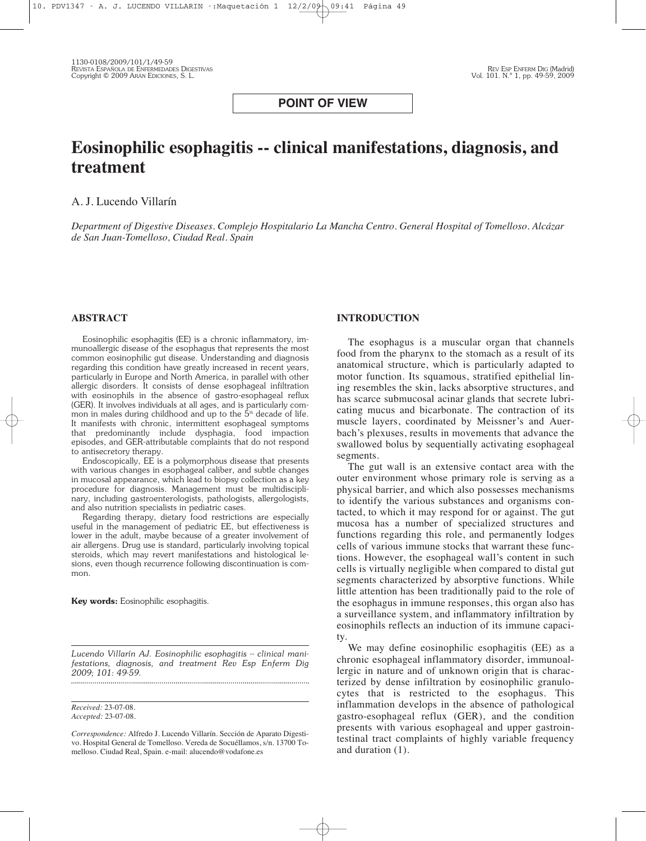# **POINT OF VIEW**

# **Eosinophilic esophagitis -- clinical manifestations, diagnosis, and treatment**

# A. J. Lucendo Villarín

*Department of Digestive Diseases. Complejo Hospitalario La Mancha Centro. General Hospital of Tomelloso. Alcázar de San Juan-Tomelloso, Ciudad Real. Spain*

## **ABSTRACT**

Eosinophilic esophagitis (EE) is a chronic inflammatory, immunoallergic disease of the esophagus that represents the most common eosinophilic gut disease. Understanding and diagnosis regarding this condition have greatly increased in recent years, particularly in Europe and North America, in parallel with other allergic disorders. It consists of dense esophageal infiltration with eosinophils in the absence of gastro-esophageal reflux (GER). It involves individuals at all ages, and is particularly common in males during childhood and up to the  $\bar{5}^{\text{th}}$  decade of life. It manifests with chronic, intermittent esophageal symptoms that predominantly include dysphagia, food impaction episodes, and GER-attributable complaints that do not respond to antisecretory therapy.

Endoscopically, EE is a polymorphous disease that presents with various changes in esophageal caliber, and subtle changes in mucosal appearance, which lead to biopsy collection as a key procedure for diagnosis. Management must be multidisciplinary, including gastroenterologists, pathologists, allergologists, and also nutrition specialists in pediatric cases.

Regarding therapy, dietary food restrictions are especially useful in the management of pediatric EE, but effectiveness is lower in the adult, maybe because of a greater involvement of air allergens. Drug use is standard, particularly involving topical steroids, which may revert manifestations and histological lesions, even though recurrence following discontinuation is common.

**Key words:** Eosinophilic esophagitis.

*Lucendo Villarín AJ. Eosinophilic esophagitis -- clinical manifestations, diagnosis, and treatment Rev Esp Enferm Dig 2009; 101: 49-59.* 

*Received:* 23-07-08. *Accepted:* 23-07-08.

*Correspondence:* Alfredo J. Lucendo Villarín. Sección de Aparato Digestivo. Hospital General de Tomelloso. Vereda de Socuéllamos, s/n. 13700 Tomelloso. Ciudad Real, Spain. e-mail: alucendo@vodafone.es

#### **INTRODUCTION**

The esophagus is a muscular organ that channels food from the pharynx to the stomach as a result of its anatomical structure, which is particularly adapted to motor function. Its squamous, stratified epithelial lining resembles the skin, lacks absorptive structures, and has scarce submucosal acinar glands that secrete lubricating mucus and bicarbonate. The contraction of its muscle layers, coordinated by Meissner's and Auerbach's plexuses, results in movements that advance the swallowed bolus by sequentially activating esophageal segments.

The gut wall is an extensive contact area with the outer environment whose primary role is serving as a physical barrier, and which also possesses mechanisms to identify the various substances and organisms contacted, to which it may respond for or against. The gut mucosa has a number of specialized structures and functions regarding this role, and permanently lodges cells of various immune stocks that warrant these functions. However, the esophageal wall's content in such cells is virtually negligible when compared to distal gut segments characterized by absorptive functions. While little attention has been traditionally paid to the role of the esophagus in immune responses, this organ also has a surveillance system, and inflammatory infiltration by eosinophils reflects an induction of its immune capacity.

We may define eosinophilic esophagitis (EE) as a chronic esophageal inflammatory disorder, immunoallergic in nature and of unknown origin that is characterized by dense infiltration by eosinophilic granulocytes that is restricted to the esophagus. This inflammation develops in the absence of pathological gastro-esophageal reflux (GER), and the condition presents with various esophageal and upper gastrointestinal tract complaints of highly variable frequency and duration (1).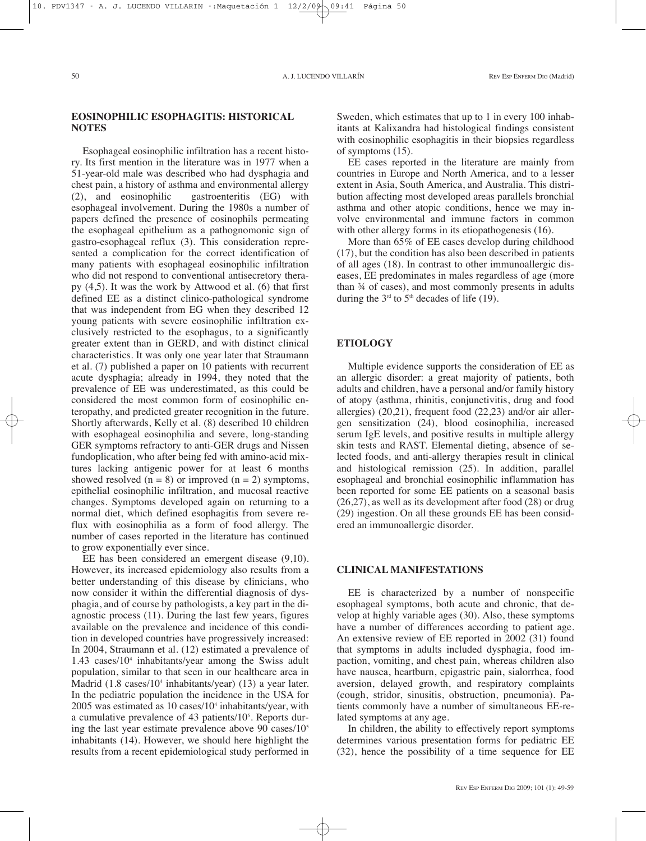## **EOSINOPHILIC ESOPHAGITIS: HISTORICAL NOTES**

Esophageal eosinophilic infiltration has a recent history. Its first mention in the literature was in 1977 when a 51-year-old male was described who had dysphagia and chest pain, a history of asthma and environmental allergy<br>
(2), and eosinophilic gastroenteritis (EG) with eastroenteritis (EG) with esophageal involvement. During the 1980s a number of papers defined the presence of eosinophils permeating the esophageal epithelium as a pathognomonic sign of gastro-esophageal reflux (3). This consideration represented a complication for the correct identification of many patients with esophageal eosinophilic infiltration who did not respond to conventional antisecretory therapy (4,5). It was the work by Attwood et al. (6) that first defined EE as a distinct clinico-pathological syndrome that was independent from EG when they described 12 young patients with severe eosinophilic infiltration exclusively restricted to the esophagus, to a significantly greater extent than in GERD, and with distinct clinical characteristics. It was only one year later that Straumann et al. (7) published a paper on 10 patients with recurrent acute dysphagia; already in 1994, they noted that the prevalence of EE was underestimated, as this could be considered the most common form of eosinophilic enteropathy, and predicted greater recognition in the future. Shortly afterwards, Kelly et al. (8) described 10 children with esophageal eosinophilia and severe, long-standing GER symptoms refractory to anti-GER drugs and Nissen fundoplication, who after being fed with amino-acid mixtures lacking antigenic power for at least 6 months showed resolved  $(n = 8)$  or improved  $(n = 2)$  symptoms, epithelial eosinophilic infiltration, and mucosal reactive changes. Symptoms developed again on returning to a normal diet, which defined esophagitis from severe reflux with eosinophilia as a form of food allergy. The number of cases reported in the literature has continued to grow exponentially ever since.

EE has been considered an emergent disease (9,10). However, its increased epidemiology also results from a better understanding of this disease by clinicians, who now consider it within the differential diagnosis of dysphagia, and of course by pathologists, a key part in the diagnostic process (11). During the last few years, figures available on the prevalence and incidence of this condition in developed countries have progressively increased: In 2004, Straumann et al. (12) estimated a prevalence of 1.43 cases/104 inhabitants/year among the Swiss adult population, similar to that seen in our healthcare area in Madrid (1.8 cases/10<sup>4</sup> inhabitants/year) (13) a year later. In the pediatric population the incidence in the USA for  $2005$  was estimated as 10 cases/10<sup>4</sup> inhabitants/year, with a cumulative prevalence of 43 patients/10<sup>5</sup>. Reports during the last year estimate prevalence above 90 cases/105 inhabitants (14). However, we should here highlight the results from a recent epidemiological study performed in

Sweden, which estimates that up to 1 in every 100 inhabitants at Kalixandra had histological findings consistent with eosinophilic esophagitis in their biopsies regardless of symptoms (15).

EE cases reported in the literature are mainly from countries in Europe and North America, and to a lesser extent in Asia, South America, and Australia. This distribution affecting most developed areas parallels bronchial asthma and other atopic conditions, hence we may involve environmental and immune factors in common with other allergy forms in its etiopathogenesis (16).

More than 65% of EE cases develop during childhood (17), but the condition has also been described in patients of all ages (18). In contrast to other immunoallergic diseases, EE predominates in males regardless of age (more than ¾ of cases), and most commonly presents in adults during the  $3<sup>rd</sup>$  to  $5<sup>th</sup>$  decades of life (19).

## **ETIOLOGY**

Multiple evidence supports the consideration of EE as an allergic disorder: a great majority of patients, both adults and children, have a personal and/or family history of atopy (asthma, rhinitis, conjunctivitis, drug and food allergies) (20,21), frequent food (22,23) and/or air allergen sensitization (24), blood eosinophilia, increased serum IgE levels, and positive results in multiple allergy skin tests and RAST. Elemental dieting, absence of selected foods, and anti-allergy therapies result in clinical and histological remission (25). In addition, parallel esophageal and bronchial eosinophilic inflammation has been reported for some EE patients on a seasonal basis (26,27), as well as its development after food (28) or drug (29) ingestion. On all these grounds EE has been considered an immunoallergic disorder.

## **CLINICAL MANIFESTATIONS**

EE is characterized by a number of nonspecific esophageal symptoms, both acute and chronic, that develop at highly variable ages (30). Also, these symptoms have a number of differences according to patient age. An extensive review of EE reported in 2002 (31) found that symptoms in adults included dysphagia, food impaction, vomiting, and chest pain, whereas children also have nausea, heartburn, epigastric pain, sialorrhea, food aversion, delayed growth, and respiratory complaints (cough, stridor, sinusitis, obstruction, pneumonia). Patients commonly have a number of simultaneous EE-related symptoms at any age.

In children, the ability to effectively report symptoms determines various presentation forms for pediatric EE (32), hence the possibility of a time sequence for EE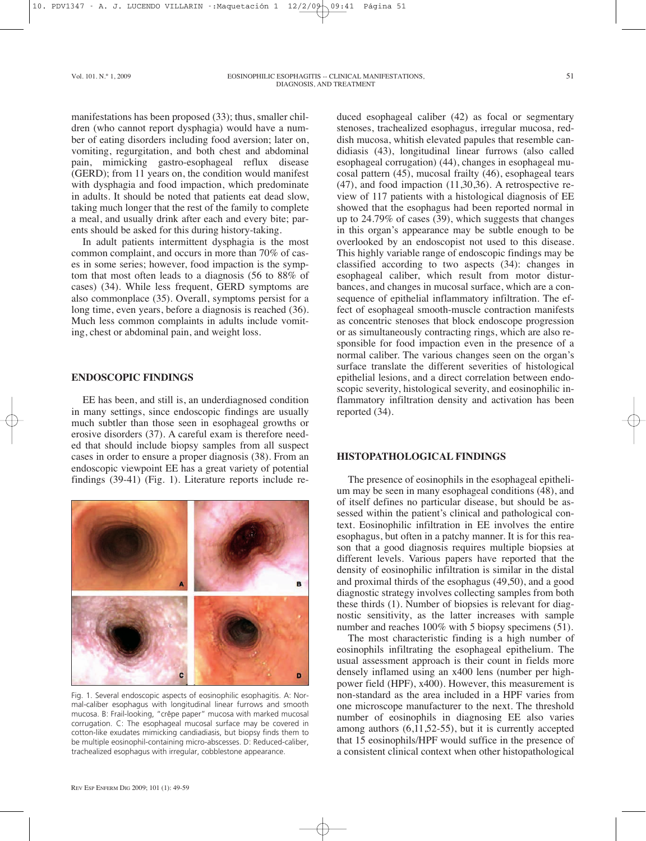manifestations has been proposed (33); thus, smaller children (who cannot report dysphagia) would have a number of eating disorders including food aversion; later on, vomiting, regurgitation, and both chest and abdominal pain, mimicking gastro-esophageal reflux disease (GERD); from 11 years on, the condition would manifest with dysphagia and food impaction, which predominate in adults. It should be noted that patients eat dead slow, taking much longer that the rest of the family to complete a meal, and usually drink after each and every bite; parents should be asked for this during history-taking.

In adult patients intermittent dysphagia is the most common complaint, and occurs in more than 70% of cases in some series; however, food impaction is the symptom that most often leads to a diagnosis (56 to 88% of cases) (34). While less frequent, GERD symptoms are also commonplace (35). Overall, symptoms persist for a long time, even years, before a diagnosis is reached (36). Much less common complaints in adults include vomiting, chest or abdominal pain, and weight loss.

## **ENDOSCOPIC FINDINGS**

EE has been, and still is, an underdiagnosed condition in many settings, since endoscopic findings are usually much subtler than those seen in esophageal growths or erosive disorders (37). A careful exam is therefore needed that should include biopsy samples from all suspect cases in order to ensure a proper diagnosis (38). From an endoscopic viewpoint EE has a great variety of potential findings (39-41) (Fig. 1). Literature reports include re-



Fig. 1. Several endoscopic aspects of eosinophilic esophagitis. A: Normal-caliber esophagus with longitudinal linear furrows and smooth mucosa. B: Frail-looking, "crêpe paper" mucosa with marked mucosal corrugation. C: The esophageal mucosal surface may be covered in cotton-like exudates mimicking candiadiasis, but biopsy finds them to be multiple eosinophil-containing micro-abscesses. D: Reduced-caliber, trachealized esophagus with irregular, cobblestone appearance.

duced esophageal caliber (42) as focal or segmentary stenoses, trachealized esophagus, irregular mucosa, reddish mucosa, whitish elevated papules that resemble candidiasis (43), longitudinal linear furrows (also called esophageal corrugation) (44), changes in esophageal mucosal pattern (45), mucosal frailty (46), esophageal tears (47), and food impaction (11,30,36). A retrospective review of 117 patients with a histological diagnosis of EE showed that the esophagus had been reported normal in up to 24.79% of cases (39), which suggests that changes in this organ's appearance may be subtle enough to be overlooked by an endoscopist not used to this disease. This highly variable range of endoscopic findings may be classified according to two aspects (34): changes in esophageal caliber, which result from motor disturbances, and changes in mucosal surface, which are a consequence of epithelial inflammatory infiltration. The effect of esophageal smooth-muscle contraction manifests as concentric stenoses that block endoscope progression or as simultaneously contracting rings, which are also responsible for food impaction even in the presence of a normal caliber. The various changes seen on the organ's surface translate the different severities of histological epithelial lesions, and a direct correlation between endoscopic severity, histological severity, and eosinophilic inflammatory infiltration density and activation has been reported (34).

## **HISTOPATHOLOGICAL FINDINGS**

The presence of eosinophils in the esophageal epithelium may be seen in many esophageal conditions (48), and of itself defines no particular disease, but should be assessed within the patient's clinical and pathological context. Eosinophilic infiltration in EE involves the entire esophagus, but often in a patchy manner. It is for this reason that a good diagnosis requires multiple biopsies at different levels. Various papers have reported that the density of eosinophilic infiltration is similar in the distal and proximal thirds of the esophagus (49,50), and a good diagnostic strategy involves collecting samples from both these thirds (1). Number of biopsies is relevant for diagnostic sensitivity, as the latter increases with sample number and reaches 100% with 5 biopsy specimens (51).

The most characteristic finding is a high number of eosinophils infiltrating the esophageal epithelium. The usual assessment approach is their count in fields more densely inflamed using an x400 lens (number per highpower field (HPF), x400). However, this measurement is non-standard as the area included in a HPF varies from one microscope manufacturer to the next. The threshold number of eosinophils in diagnosing EE also varies among authors (6,11,52-55), but it is currently accepted that 15 eosinophils/HPF would suffice in the presence of a consistent clinical context when other histopathological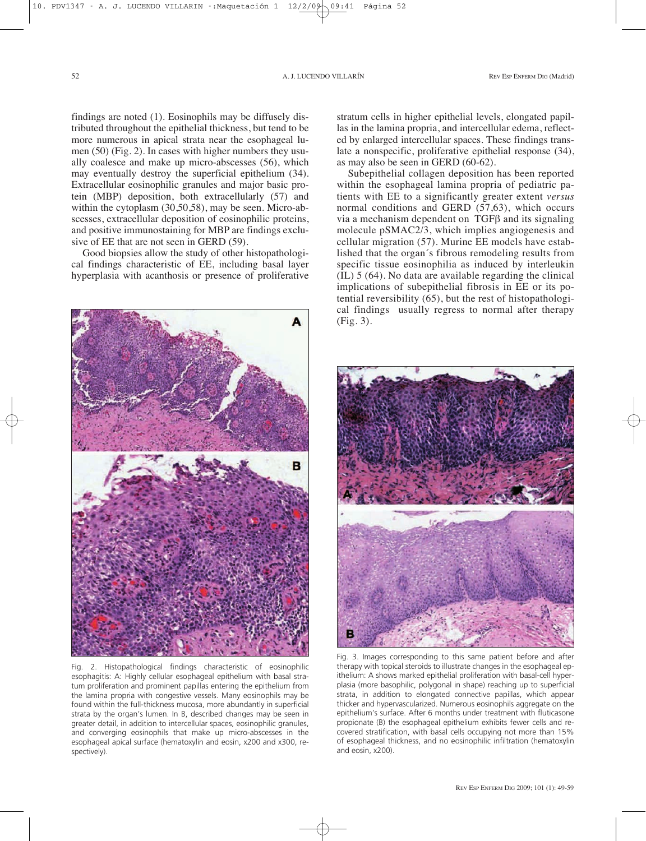findings are noted (1). Eosinophils may be diffusely distributed throughout the epithelial thickness, but tend to be more numerous in apical strata near the esophageal lumen (50) (Fig. 2). In cases with higher numbers they usually coalesce and make up micro-abscesses (56), which may eventually destroy the superficial epithelium (34). Extracellular eosinophilic granules and major basic protein (MBP) deposition, both extracellularly (57) and within the cytoplasm (30,50,58), may be seen. Micro-abscesses, extracellular deposition of eosinophilic proteins, and positive immunostaining for MBP are findings exclusive of EE that are not seen in GERD (59).

Good biopsies allow the study of other histopathological findings characteristic of EE, including basal layer hyperplasia with acanthosis or presence of proliferative



Fig. 2. Histopathological findings characteristic of eosinophilic esophagitis: A: Highly cellular esophageal epithelium with basal stratum proliferation and prominent papillas entering the epithelium from the lamina propria with congestive vessels. Many eosinophils may be found within the full-thickness mucosa, more abundantly in superficial strata by the organ's lumen. In B, described changes may be seen in greater detail, in addition to intercellular spaces, eosinophilic granules, and converging eosinophils that make up micro-abscesses in the esophageal apical surface (hematoxylin and eosin, x200 and x300, respectively).

stratum cells in higher epithelial levels, elongated papillas in the lamina propria, and intercellular edema, reflected by enlarged intercellular spaces. These findings translate a nonspecific, proliferative epithelial response (34), as may also be seen in GERD (60-62).

Subepithelial collagen deposition has been reported within the esophageal lamina propria of pediatric patients with EE to a significantly greater extent *versus* normal conditions and GERD (57,63), which occurs via a mechanism dependent on TGFβ and its signaling molecule pSMAC2/3, which implies angiogenesis and cellular migration (57). Murine EE models have established that the organ´s fibrous remodeling results from specific tissue eosinophilia as induced by interleukin (IL) 5 (64). No data are available regarding the clinical implications of subepithelial fibrosis in EE or its potential reversibility (65), but the rest of histopathological findings usually regress to normal after therapy (Fig. 3).



Fig. 3. Images corresponding to this same patient before and after therapy with topical steroids to illustrate changes in the esophageal epithelium: A shows marked epithelial proliferation with basal-cell hyperplasia (more basophilic, polygonal in shape) reaching up to superficial strata, in addition to elongated connective papillas, which appear thicker and hypervascularized. Numerous eosinophils aggregate on the epithelium's surface. After 6 months under treatment with fluticasone propionate (B) the esophageal epithelium exhibits fewer cells and recovered stratification, with basal cells occupying not more than 15% of esophageal thickness, and no eosinophilic infiltration (hematoxylin and eosin, x200).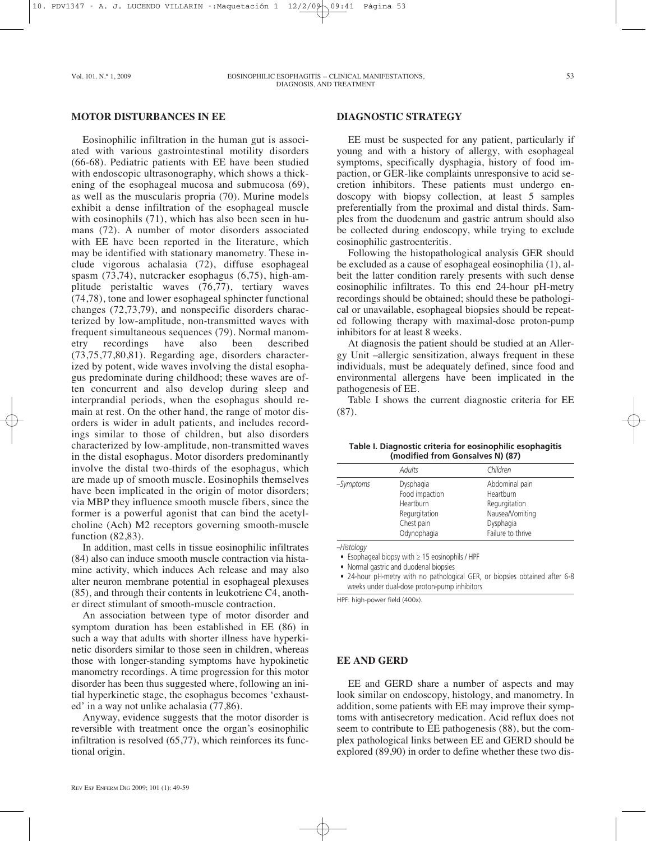# **MOTOR DISTURBANCES IN EE**

Eosinophilic infiltration in the human gut is associated with various gastrointestinal motility disorders (66-68). Pediatric patients with EE have been studied with endoscopic ultrasonography, which shows a thickening of the esophageal mucosa and submucosa (69), as well as the muscularis propria (70). Murine models exhibit a dense infiltration of the esophageal muscle with eosinophils (71), which has also been seen in humans (72). A number of motor disorders associated with EE have been reported in the literature, which may be identified with stationary manometry. These include vigorous achalasia (72), diffuse esophageal spasm (73,74), nutcracker esophagus (6,75), high-amplitude peristaltic waves (76,77), tertiary waves (74,78), tone and lower esophageal sphincter functional changes (72,73,79), and nonspecific disorders characterized by low-amplitude, non-transmitted waves with frequent simultaneous sequences (79). Normal manometry recordings have also been described (73,75,77,80,81). Regarding age, disorders characterized by potent, wide waves involving the distal esophagus predominate during childhood; these waves are often concurrent and also develop during sleep and interprandial periods, when the esophagus should remain at rest. On the other hand, the range of motor disorders is wider in adult patients, and includes recordings similar to those of children, but also disorders characterized by low-amplitude, non-transmitted waves in the distal esophagus. Motor disorders predominantly involve the distal two-thirds of the esophagus, which are made up of smooth muscle. Eosinophils themselves have been implicated in the origin of motor disorders; via MBP they influence smooth muscle fibers, since the former is a powerful agonist that can bind the acetylcholine (Ach) M2 receptors governing smooth-muscle function (82,83).

In addition, mast cells in tissue eosinophilic infiltrates (84) also can induce smooth muscle contraction via histamine activity, which induces Ach release and may also alter neuron membrane potential in esophageal plexuses (85), and through their contents in leukotriene C4, another direct stimulant of smooth-muscle contraction.

An association between type of motor disorder and symptom duration has been established in EE (86) in such a way that adults with shorter illness have hyperkinetic disorders similar to those seen in children, whereas those with longer-standing symptoms have hypokinetic manometry recordings. A time progression for this motor disorder has been thus suggested where, following an initial hyperkinetic stage, the esophagus becomes 'exhausted' in a way not unlike achalasia (77,86).

Anyway, evidence suggests that the motor disorder is reversible with treatment once the organ's eosinophilic infiltration is resolved (65,77), which reinforces its functional origin.

# **DIAGNOSTIC STRATEGY**

EE must be suspected for any patient, particularly if young and with a history of allergy, with esophageal symptoms, specifically dysphagia, history of food impaction, or GER-like complaints unresponsive to acid secretion inhibitors. These patients must undergo endoscopy with biopsy collection, at least 5 samples preferentially from the proximal and distal thirds. Samples from the duodenum and gastric antrum should also be collected during endoscopy, while trying to exclude eosinophilic gastroenteritis.

Following the histopathological analysis GER should be excluded as a cause of esophageal eosinophilia (1), albeit the latter condition rarely presents with such dense eosinophilic infiltrates. To this end 24-hour pH-metry recordings should be obtained; should these be pathological or unavailable, esophageal biopsies should be repeated following therapy with maximal-dose proton-pump inhibitors for at least 8 weeks.

At diagnosis the patient should be studied at an Allergy Unit –allergic sensitization, always frequent in these individuals, must be adequately defined, since food and environmental allergens have been implicated in the pathogenesis of EE.

Table I shows the current diagnostic criteria for EE (87).

| Table I. Diagnostic criteria for eosinophilic esophagitis |  |
|-----------------------------------------------------------|--|
| (modified from Gonsalves N) (87)                          |  |

|           | Adults                                                                                 | Children                                                                                          |
|-----------|----------------------------------------------------------------------------------------|---------------------------------------------------------------------------------------------------|
| -Symptoms | Dysphagia<br>Food impaction<br>Heartburn<br>Regurgitation<br>Chest pain<br>Odynophagia | Abdominal pain<br>Heartburn<br>Regurgitation<br>Nausea/Vomiting<br>Dysphagia<br>Failure to thrive |

–*Histology*

• Esophageal biopsy with ≥ 15 eosinophils / HPF

• Normal gastric and duodenal biopsies

• 24-hour pH-metry with no pathological GER, or biopsies obtained after 6-8 weeks under dual-dose proton-pump inhibitors

HPF: high-power field (400x).

# **EE AND GERD**

EE and GERD share a number of aspects and may look similar on endoscopy, histology, and manometry. In addition, some patients with EE may improve their symptoms with antisecretory medication. Acid reflux does not seem to contribute to EE pathogenesis (88), but the complex pathological links between EE and GERD should be explored (89,90) in order to define whether these two dis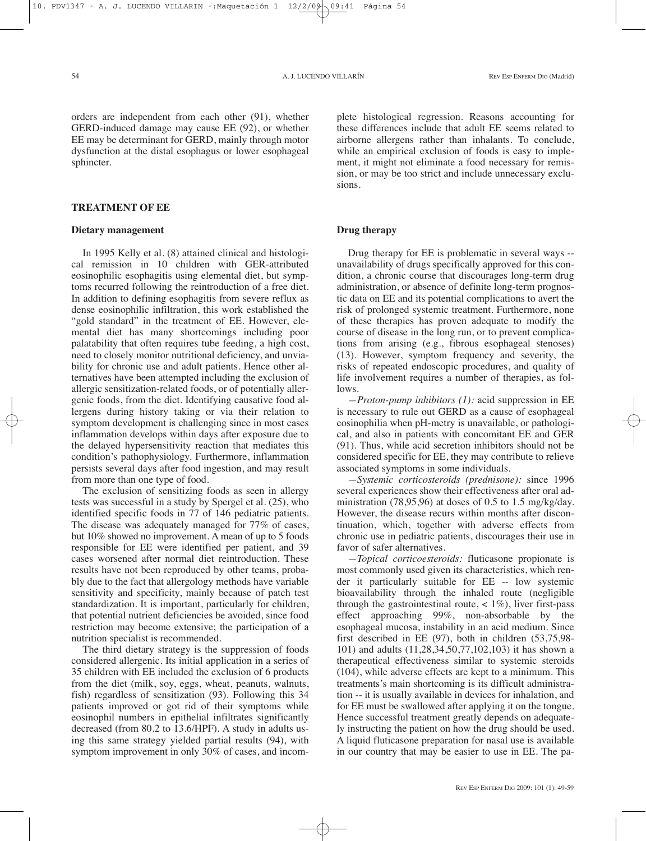orders are independent from each other (91), whether GERD-induced damage may cause EE (92), or whether EE may be determinant for GERD, mainly through motor dysfunction at the distal esophagus or lower esophageal sphincter.

## **TREATMENT OF EE**

## **Dietary management**

In 1995 Kelly et al. (8) attained clinical and histological remission in 10 children with GER-attributed eosinophilic esophagitis using elemental diet, but symptoms recurred following the reintroduction of a free diet. In addition to defining esophagitis from severe reflux as dense eosinophilic infiltration, this work established the "gold standard" in the treatment of EE. However, elemental diet has many shortcomings including poor palatability that often requires tube feeding, a high cost, need to closely monitor nutritional deficiency, and unviability for chronic use and adult patients. Hence other alternatives have been attempted including the exclusion of allergic sensitization-related foods, or of potentially allergenic foods, from the diet. Identifying causative food allergens during history taking or via their relation to symptom development is challenging since in most cases inflammation develops within days after exposure due to the delayed hypersensitivity reaction that mediates this condition's pathophysiology. Furthermore, inflammation persists several days after food ingestion, and may result from more than one type of food.

The exclusion of sensitizing foods as seen in allergy tests was successful in a study by Spergel et al. (25), who identified specific foods in 77 of 146 pediatric patients. The disease was adequately managed for 77% of cases, but 10% showed no improvement. A mean of up to 5 foods responsible for EE were identified per patient, and 39 cases worsened after normal diet reintroduction. These results have not been reproduced by other teams, probably due to the fact that allergology methods have variable sensitivity and specificity, mainly because of patch test standardization. It is important, particularly for children, that potential nutrient deficiencies be avoided, since food restriction may become extensive; the participation of a nutrition specialist is recommended.

The third dietary strategy is the suppression of foods considered allergenic. Its initial application in a series of 35 children with EE included the exclusion of 6 products from the diet (milk, soy, eggs, wheat, peanuts, walnuts, fish) regardless of sensitization (93). Following this 34 patients improved or got rid of their symptoms while eosinophil numbers in epithelial infiltrates significantly decreased (from 80.2 to 13.6/HPF). A study in adults using this same strategy yielded partial results (94), with symptom improvement in only 30% of cases, and incomplete histological regression. Reasons accounting for these differences include that adult EE seems related to airborne allergens rather than inhalants. To conclude, while an empirical exclusion of foods is easy to implement, it might not eliminate a food necessary for remission, or may be too strict and include unnecessary exclusions.

## **Drug therapy**

Drug therapy for EE is problematic in several ways - unavailability of drugs specifically approved for this condition, a chronic course that discourages long-term drug administration, or absence of definite long-term prognostic data on EE and its potential complications to avert the risk of prolonged systemic treatment. Furthermore, none of these therapies has proven adequate to modify the course of disease in the long run, or to prevent complications from arising (e.g., fibrous esophageal stenoses) (13). However, symptom frequency and severity, the risks of repeated endoscopic procedures, and quality of life involvement requires a number of therapies, as follows.

*—Proton-pump inhibitors (1):* acid suppression in EE is necessary to rule out GERD as a cause of esophageal eosinophilia when pH-metry is unavailable, or pathological, and also in patients with concomitant EE and GER (91). Thus, while acid secretion inhibitors should not be considered specific for EE, they may contribute to relieve associated symptoms in some individuals.

*—Systemic corticosteroids (prednisone):* since 1996 several experiences show their effectiveness after oral administration  $(78,95,96)$  at doses of 0.5 to 1.5 mg/kg/day. However, the disease recurs within months after discontinuation, which, together with adverse effects from chronic use in pediatric patients, discourages their use in favor of safer alternatives.

*—Topical corticoesteroids:* fluticasone propionate is most commonly used given its characteristics, which render it particularly suitable for EE -- low systemic bioavailability through the inhaled route (negligible through the gastrointestinal route,  $\langle 1\% \rangle$ , liver first-pass effect approaching 99%, non-absorbable by the esophageal mucosa, instability in an acid medium. Since first described in EE (97), both in children (53,75,98- 101) and adults (11,28,34,50,77,102,103) it has shown a therapeutical effectiveness similar to systemic steroids (104), while adverse effects are kept to a minimum. This treatments's main shortcoming is its difficult administration -- it is usually available in devices for inhalation, and for EE must be swallowed after applying it on the tongue. Hence successful treatment greatly depends on adequately instructing the patient on how the drug should be used. A liquid fluticasone preparation for nasal use is available in our country that may be easier to use in EE. The pa-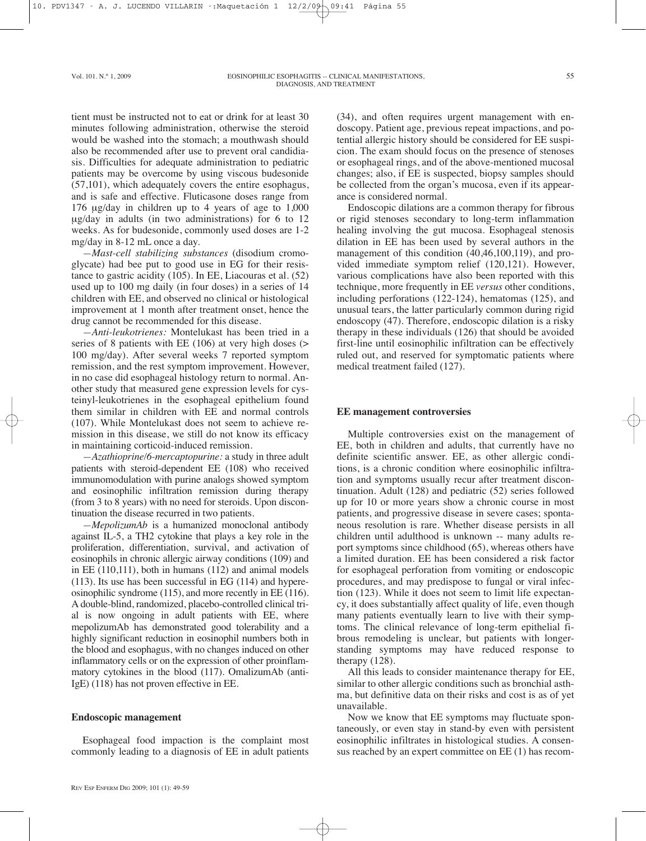tient must be instructed not to eat or drink for at least 30 minutes following administration, otherwise the steroid would be washed into the stomach; a mouthwash should also be recommended after use to prevent oral candidiasis. Difficulties for adequate administration to pediatric patients may be overcome by using viscous budesonide (57,101), which adequately covers the entire esophagus, and is safe and effective. Fluticasone doses range from 176 µg/day in children up to 4 years of age to 1,000 µg/day in adults (in two administrations) for 6 to 12 weeks. As for budesonide, commonly used doses are 1-2 mg/day in 8-12 mL once a day.

*—Mast-cell stabilizing substances* (disodium cromoglycate) had bee put to good use in EG for their resistance to gastric acidity (105). In EE, Liacouras et al. (52) used up to 100 mg daily (in four doses) in a series of 14 children with EE, and observed no clinical or histological improvement at 1 month after treatment onset, hence the drug cannot be recommended for this disease.

*—Anti-leukotrienes:* Montelukast has been tried in a series of 8 patients with EE (106) at very high doses (> 100 mg/day). After several weeks 7 reported symptom remission, and the rest symptom improvement. However, in no case did esophageal histology return to normal. Another study that measured gene expression levels for cysteinyl-leukotrienes in the esophageal epithelium found them similar in children with EE and normal controls (107). While Montelukast does not seem to achieve remission in this disease, we still do not know its efficacy in maintaining corticoid-induced remission.

*—Azathioprine/6-mercaptopurine:* a study in three adult patients with steroid-dependent EE (108) who received immunomodulation with purine analogs showed symptom and eosinophilic infiltration remission during therapy (from 3 to 8 years) with no need for steroids. Upon discontinuation the disease recurred in two patients.

*—MepolizumAb* is a humanized monoclonal antibody against IL-5, a TH2 cytokine that plays a key role in the proliferation, differentiation, survival, and activation of eosinophils in chronic allergic airway conditions (109) and in EE (110,111), both in humans (112) and animal models (113). Its use has been successful in EG (114) and hypereosinophilic syndrome (115), and more recently in EE (116). A double-blind, randomized, placebo-controlled clinical trial is now ongoing in adult patients with EE, where mepolizumAb has demonstrated good tolerability and a highly significant reduction in eosinophil numbers both in the blood and esophagus, with no changes induced on other inflammatory cells or on the expression of other proinflammatory cytokines in the blood (117). OmalizumAb (anti-IgE) (118) has not proven effective in EE.

#### **Endoscopic management**

Esophageal food impaction is the complaint most commonly leading to a diagnosis of EE in adult patients

(34), and often requires urgent management with endoscopy. Patient age, previous repeat impactions, and potential allergic history should be considered for EE suspicion. The exam should focus on the presence of stenoses or esophageal rings, and of the above-mentioned mucosal changes; also, if EE is suspected, biopsy samples should be collected from the organ's mucosa, even if its appearance is considered normal.

Endoscopic dilations are a common therapy for fibrous or rigid stenoses secondary to long-term inflammation healing involving the gut mucosa. Esophageal stenosis dilation in EE has been used by several authors in the management of this condition (40,46,100,119), and provided immediate symptom relief (120,121). However, various complications have also been reported with this technique, more frequently in EE *versus* other conditions, including perforations (122-124), hematomas (125), and unusual tears, the latter particularly common during rigid endoscopy (47). Therefore, endoscopic dilation is a risky therapy in these individuals (126) that should be avoided first-line until eosinophilic infiltration can be effectively ruled out, and reserved for symptomatic patients where medical treatment failed (127).

#### **EE management controversies**

Multiple controversies exist on the management of EE, both in children and adults, that currently have no definite scientific answer. EE, as other allergic conditions, is a chronic condition where eosinophilic infiltration and symptoms usually recur after treatment discontinuation. Adult (128) and pediatric (52) series followed up for 10 or more years show a chronic course in most patients, and progressive disease in severe cases; spontaneous resolution is rare. Whether disease persists in all children until adulthood is unknown -- many adults report symptoms since childhood (65), whereas others have a limited duration. EE has been considered a risk factor for esophageal perforation from vomiting or endoscopic procedures, and may predispose to fungal or viral infection (123). While it does not seem to limit life expectancy, it does substantially affect quality of life, even though many patients eventually learn to live with their symptoms. The clinical relevance of long-term epithelial fibrous remodeling is unclear, but patients with longerstanding symptoms may have reduced response to therapy (128).

All this leads to consider maintenance therapy for EE, similar to other allergic conditions such as bronchial asthma, but definitive data on their risks and cost is as of yet unavailable.

Now we know that EE symptoms may fluctuate spontaneously, or even stay in stand-by even with persistent eosinophilic infiltrates in histological studies. A consensus reached by an expert committee on EE (1) has recom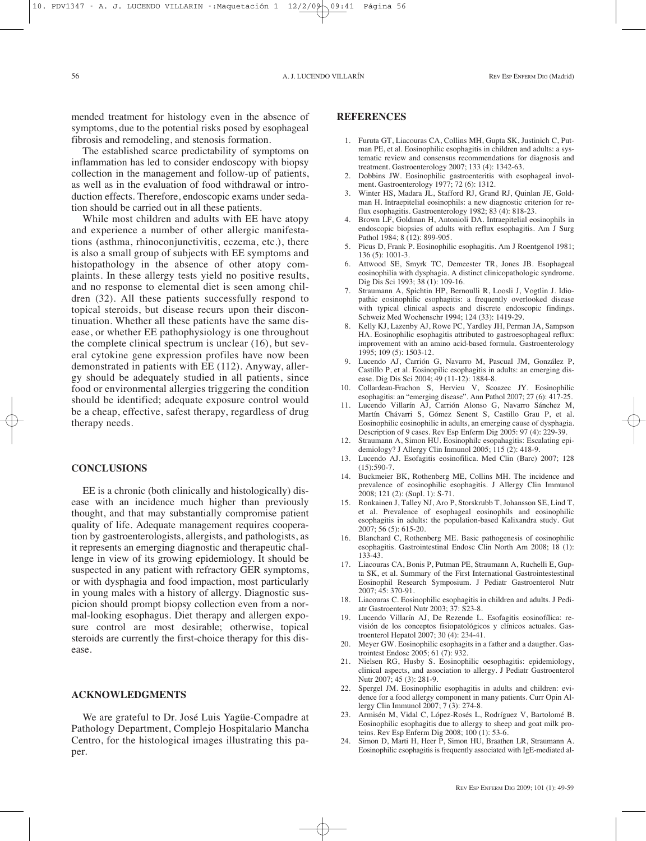mended treatment for histology even in the absence of symptoms, due to the potential risks posed by esophageal fibrosis and remodeling, and stenosis formation.

The established scarce predictability of symptoms on inflammation has led to consider endoscopy with biopsy collection in the management and follow-up of patients, as well as in the evaluation of food withdrawal or introduction effects. Therefore, endoscopic exams under sedation should be carried out in all these patients.

While most children and adults with EE have atopy and experience a number of other allergic manifestations (asthma, rhinoconjunctivitis, eczema, etc.), there is also a small group of subjects with EE symptoms and histopathology in the absence of other atopy complaints. In these allergy tests yield no positive results, and no response to elemental diet is seen among children (32). All these patients successfully respond to topical steroids, but disease recurs upon their discontinuation. Whether all these patients have the same disease, or whether EE pathophysiology is one throughout the complete clinical spectrum is unclear (16), but several cytokine gene expression profiles have now been demonstrated in patients with EE (112). Anyway, allergy should be adequately studied in all patients, since food or environmental allergies triggering the condition should be identified; adequate exposure control would be a cheap, effective, safest therapy, regardless of drug therapy needs.

#### **CONCLUSIONS**

EE is a chronic (both clinically and histologically) disease with an incidence much higher than previously thought, and that may substantially compromise patient quality of life. Adequate management requires cooperation by gastroenterologists, allergists, and pathologists, as it represents an emerging diagnostic and therapeutic challenge in view of its growing epidemiology. It should be suspected in any patient with refractory GER symptoms, or with dysphagia and food impaction, most particularly in young males with a history of allergy. Diagnostic suspicion should prompt biopsy collection even from a normal-looking esophagus. Diet therapy and allergen exposure control are most desirable; otherwise, topical steroids are currently the first-choice therapy for this disease.

#### **ACKNOWLEDGMENTS**

We are grateful to Dr. José Luis Yagüe-Compadre at Pathology Department, Complejo Hospitalario Mancha Centro, for the histological images illustrating this paper.

## **REFERENCES**

- 1. Furuta GT, Liacouras CA, Collins MH, Gupta SK, Justinich C, Putman PE, et al. Eosinophilic esophagitis in children and adults: a systematic review and consensus recommendations for diagnosis and treatment. Gastroenterology 2007; 133 (4): 1342-63.
- 2. Dobbins JW. Eosinophilic gastroenteritis with esophageal involment. Gastroenterology 1977; 72 (6): 1312.
- Winter HS, Madara JL, Stafford RJ, Grand RJ, Quinlan JE, Goldman H. Intraepitelial eosinophils: a new diagnostic criterion for reflux esophagitis. Gastroenterology 1982; 83 (4): 818-23.
- 4. Brown LF, Goldman H, Antonioli DA. Intraepitelial eosinophils in endoscopic biopsies of adults with reflux esophagitis. Am J Surg Pathol 1984; 8 (12): 899-905.
- 5. Picus D, Frank P. Eosinophilic esophagitis. Am J Roentgenol 1981;  $136(5)$ : 1001-3.
- 6. Attwood SE, Smyrk TC, Demeester TR, Jones JB. Esophageal eosinophilia with dysphagia. A distinct clinicopathologic syndrome. Dig Dis Sci 1993; 38 (1): 109-16.
- 7. Straumann A, Spichtin HP, Bernoulli R, Loosli J, Vogtlin J. Idiopathic eosinophilic esophagitis: a frequently overlooked disease with typical clinical aspects and discrete endoscopic findings. Schweiz Med Wochenschr 1994; 124 (33): 1419-29.
- 8. Kelly KJ, Lazenby AJ, Rowe PC, Yardley JH, Perman JA, Sampson HA. Eosinophilic esophagitis attributed to gastroesophageal reflux: improvement with an amino acid-based formula. Gastroenterology 1995; 109 (5): 1503-12.
- 9. Lucendo AJ, Carrión G, Navarro M, Pascual JM, González P, Castillo P, et al. Eosinopilic esophagitis in adults: an emerging disease. Dig Dis Sci 2004; 49 (11-12): 1884-8.
- 10. Collardeau-Frachon S, Hervieu V, Scoazec JY. Eosinophilic esophagitis: an "emerging disease". Ann Pathol 2007; 27 (6): 417-25.
- 11. Lucendo Villarín AJ, Carrión Alonso G, Navarro Sánchez M, Martín Chávarri S, Gómez Senent S, Castillo Grau P, et al. Eosinophilic eosinophilic in adults, an emerging cause of dysphagia. Description of 9 cases. Rev Esp Enferm Dig 2005: 97 (4): 229-39.
- 12. Straumann A, Simon HU. Eosinophilc esopahagitis: Escalating epidemiology? J Allergy Clin Inmunol 2005; 115 (2): 418-9.
- 13. Lucendo AJ. Esofagitis eosinofilica. Med Clin (Barc) 2007; 128  $(15):590-7.$
- 14. Buckmeier BK, Rothenberg ME, Collins MH. The incidence and prevalence of eosinophilic esophagitis. J Allergy Clin Immunol 2008; 121 (2): (Supl. 1): S-71.
- 15. Ronkainen J, Talley NJ, Aro P, Storskrubb T, Johansson SE, Lind T, et al. Prevalence of esophageal eosinophils and eosinophilic esophagitis in adults: the population-based Kalixandra study. Gut 2007; 56 (5): 615-20.
- 16. Blanchard C, Rothenberg ME. Basic pathogenesis of eosinophilic esophagitis. Gastrointestinal Endosc Clin North Am 2008; 18 (1): 133-43.
- 17. Liacouras CA, Bonis P, Putman PE, Straumann A, Ruchelli E, Gupta SK, et al. Summary of the First International Gastrointestestinal Eosinophil Research Symposium. J Pediatr Gastroenterol Nutr 2007; 45: 370-91.
- 18. Liacouras C. Eosinophilic esophagitis in children and adults. J Pediatr Gastroenterol Nutr 2003; 37: S23-8.
- 19. Lucendo Villarín AJ, De Rezende L. Esofagitis eosinofílica: revisión de los conceptos fisiopatológicos y clínicos actuales. Gastroenterol Hepatol 2007; 30 (4): 234-41.
- 20. Meyer GW. Eosinophilic esophagits in a father and a daugther. Gastrointest Endosc 2005; 61 (7): 932.
- 21. Nielsen RG, Husby S. Eosinophilic oesophagitis: epidemiology, clinical aspects, and association to allergy. J Pediatr Gastroenterol Nutr 2007; 45 (3): 281-9.
- 22. Spergel JM. Eosinophilic esophagitis in adults and children: evidence for a food allergy component in many patients. Curr Opin Allergy Clin Immunol 2007; 7 (3): 274-8.
- 23. Armisén M, Vidal C, López-Rosés L, Rodríguez V, Bartolomé B. Eosinophilic esophagitis due to allergy to sheep and goat milk proteins. Rev Esp Enferm Dig 2008; 100 (1): 53-6.
- 24. Simon D, Marti H, Heer P, Simon HU, Braathen LR, Straumann A. Eosinophilic esophagitis is frequently associated with IgE-mediated al-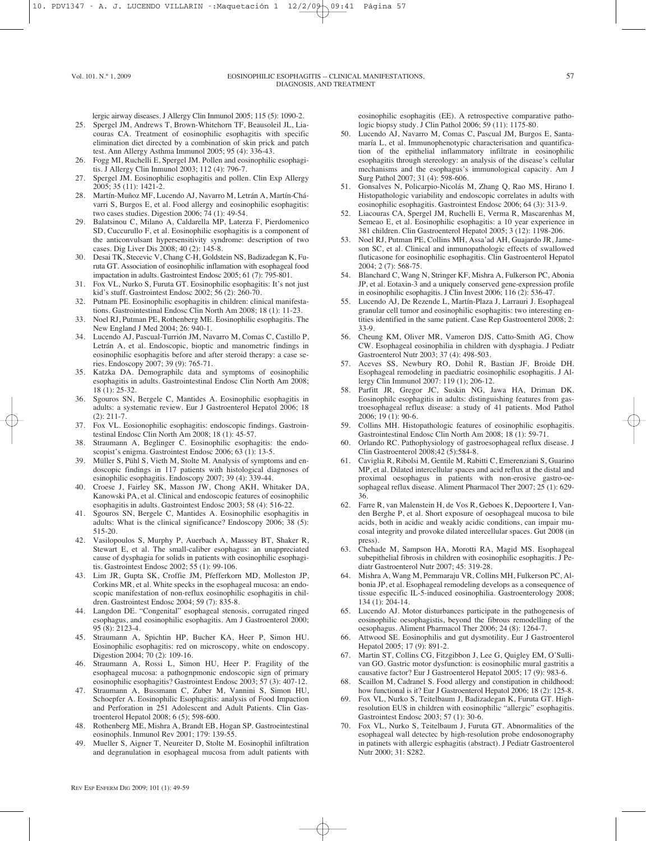lergic airway diseases. J Allergy Clin Inmunol 2005; 115 (5): 1090-2.

- 25. Spergel JM, Andrews T, Brown-Whitehorn TF, Beausoleil JL, Liacouras CA. Treatment of eosinophilic esophagitis with specific elimination diet directed by a combination of skin prick and patch test. Ann Allergy Asthma Immunol 2005; 95 (4): 336-43.
- 26. Fogg MI, Ruchelli E, Spergel JM. Pollen and eosinophilic esophagitis. J Allergy Clin Inmunol 2003; 112 (4): 796-7.
- 27. Spergel JM. Eosinophilic esophagitis and pollen. Clin Exp Allergy 2005; 35 (11): 1421-2.
- 28. Martín-Muñoz MF, Lucendo AJ, Navarro M, Letrán A, Martín-Chávarri S, Burgos E, et al. Food allergy and eosinophilic esophagitis: two cases studies. Digestion 2006; 74 (1): 49-54.
- 29. Balatsinou C, Milano A, Caldarella MP, Laterza F, Pierdomenico SD, Cuccurullo F, et al. Eosinophilic esophagitis is a component of the anticonvulsant hypersensitivity syndrome: description of two cases. Dig Liver Dis 2008; 40 (2): 145-8.
- 30. Desai TK, Stecevic V, Chang C-H, Goldstein NS, Badizadegan K, Furuta GT. Association of eosinophilic inflamation with esophageal food impactation in adults. Gastrointest Endosc 2005; 61 (7): 795-801.
- 31. Fox VL, Nurko S, Furuta GT. Eosinophilic esophagitis: It's not just kid's stuff. Gastrointest Endosc 2002; 56 (2): 260-70.
- 32. Putnam PE. Eosinophilic esophagitis in children: clinical manifestations. Gastrointestinal Endosc Clin North Am 2008; 18 (1): 11-23.
- 33. Noel RJ, Putman PE, Rothenberg ME. Eosinophilic esophagitis. The New England J Med 2004; 26: 940-1.
- 34. Lucendo AJ, Pascual-Turrión JM, Navarro M, Comas C, Castillo P, Letrán A, et al. Endoscopic, bioptic and manometric findings in eosinophilic esophagitis before and after steroid therapy: a case series. Endoscopy 2007; 39 (9): 765-71.
- 35. Katzka DA. Demographilc data and symptoms of eosinophilic esophagitis in adults. Gastrointestinal Endosc Clin North Am 2008; 18 (1): 25-32.
- 36. Sgouros SN, Bergele C, Mantides A. Eosinophilic esophagitis in adults: a systematic review. Eur J Gastroenterol Hepatol 2006; 18 (2): 211-7.
- 37. Fox VL. Eosionophilic esophagitis: endoscopic findings. Gastrointestinal Endosc Clin North Am 2008; 18 (1): 45-57.
- 38. Straumann A, Beglinger C. Eosinophilic esophagitis: the endoscopist's enigma. Gastrointest Endosc 2006; 63 (1): 13-5.
- 39. Müller S, Pühl S, Vieth M, Stolte M. Analysis of symptoms and endoscopic findings in 117 patients with histological diagnoses of esinophilic esophagitis. Endoscopy 2007; 39 (4): 339-44.
- 40. Croese J, Fairley SK, Masson JW, Chong AKH, Whitaker DA, Kanowski PA, et al. Clinical and endoscopic features of eosinophilic esophagitis in adults. Gastrointest Endosc 2003; 58 (4): 516-22.
- 41. Sgouros SN, Bergele C, Mantides A. Eosinophilic esophagitis in adults: What is the clinical significance? Endoscopy 2006; 38 (5): 515-20.
- 42. Vasilopoulos S, Murphy P, Auerbach A, Masssey BT, Shaker R, Stewart E, et al. The small-caliber esophagus: an unappreciated cause of dysphagia for solids in patients with eosinophilic esophagitis. Gastrointest Endosc 2002; 55 (1): 99-106.
- 43. Lim JR, Gupta SK, Croffie JM, Pfefferkorn MD, Molleston JP, Corkins MR, et al. White specks in the esophageal mucosa: an endoscopic manifestation of non-reflux eosinophilic esophagitis in children. Gastrointest Endosc 2004; 59 (7): 835-8.
- 44. Langdon DE. "Congenital" esophageal stenosis, corrugated ringed esophagus, and eosinophilic esophagitis. Am J Gastroenterol 2000; 95 (8): 2123-4.
- 45. Straumann A, Spichtin HP, Bucher KA, Heer P, Simon HU. Eosinophilic esophagitis: red on microscopy, white on endoscopy. Digestion 2004; 70 (2): 109-16.
- Straumann A, Rossi L, Simon HU, Heer P. Fragility of the esophageal mucosa: a pathognpmonic endoscopic sign of primary eosinophilic esophagitis? Gastrointest Endosc 2003; 57 (3): 407-12.
- 47. Straumann A, Bussmann C, Zuber M, Vannini S, Simon HU, Schoepfer A. Eosinophilic Esophagitis: analysis of Food Impaction and Perforation in 251 Adolescent and Adult Patients. Clin Gastroenterol Hepatol 2008; 6 (5); 598-600.
- 48. Rothenberg ME, Mishra A, Brandt EB, Hogan SP. Gastroeintestinal eosinophils. Inmunol Rev 2001; 179: 139-55.
- 49. Mueller S, Aigner T, Neureiter D, Stolte M. Eosinophil infiltration and degranulation in esophageal mucosa from adult patients with

eosinophilic esophagitis (EE). A retrospective comparative pathologic biopsy study. J Clin Pathol 2006; 59 (11): 1175-80.

- 50. Lucendo AJ, Navarro M, Comas C, Pascual JM, Burgos E, Santamaría L, et al. Immunophenotypic characterisation and quantification of the epithelial inflammatory infiltrate in eosinophilic esophagitis through stereology: an analysis of the disease's cellular mechanisms and the esophagus's immunological capacity. Am J Surg Pathol 2007; 31 (4): 598-606.
- 51. Gonsalves N, Policarpio-Nicolás M, Zhang Q, Rao MS, Hirano I. Histopathologic variability and endoscopic correlates in adults with eosinophilic esophagitis. Gastrointest Endosc 2006; 64 (3): 313-9.
- 52. Liacouras CA, Spergel JM, Ruchelli E, Verma R, Mascarenhas M, Semeao E, et al. Eosinophilic esophagitis: a 10 year experience in 381 children. Clin Gastroenterol Hepatol 2005; 3 (12): 1198-206.
- 53. Noel RJ, Putman PE, Collins MH, Assa'ad AH, Guajardo JR, Jameson SC, et al. Clinical and inmunopathologic effects of swallowed fluticasone for eosinophilic esophagitis. Clin Gastroenterol Hepatol 2004; 2 (7): 568-75.
- 54. Blanchard C, Wang N, Stringer KF, Mishra A, Fulkerson PC, Abonia JP, et al. Eotaxin-3 and a uniquely conserved gene-expression profile in eosinophilic esophagitis. J Clin Invest 2006; 116 (2): 536-47.
- 55. Lucendo AJ, De Rezende L, Martín-Plaza J, Larrauri J. Esophageal granular cell tumor and eosinophilic esophagitis: two interesting entities identified in the same patient. Case Rep Gastroenterol 2008; 2: 33-9.
- 56. Cheung KM, Oliver MR, Vameron DJS, Catto-Smith AG, Chow CW. Esophageal eosinophilia in children with dysphagia. J Pediatr Gastroenterol Nutr 2003; 37 (4): 498-503.
- 57. Aceves SS, Newbury RO, Dohil R, Bastian JF, Broide DH. Esophageal remodeling in paediatric eosinophilic esophagitis. J Allergy Clin Immunol 2007: 119 (1); 206-12.
- 58. Parfitt JR, Gregor JC, Suskin NG, Jawa HA, Driman DK. Eosinophilc esophagitis in adults: distinguishing features from gastroesophageal reflux disease: a study of 41 patients. Mod Pathol 2006; 19 (1): 90-6.
- 59. Collins MH. Histopathologic features of eosinophilic esophagitis. Gastrointestinal Endosc Clin North Am 2008; 18 (1): 59-71.
- 60. Orlando RC. Pathophysiology of gastroesophageal reflux disease. J Clin Gastroenterol 2008;42 (5):584-8.
- 61. Caviglia R, Ribolsi M, Gentile M, Rabitti C, Emerenziani S, Guarino MP, et al. Dilated intercellular spaces and acid reflux at the distal and proximal oesophagus in patients with non-erosive gastro-oesophageal reflux disease. Aliment Pharmacol Ther 2007; 25 (1): 629- 36.
- 62. Farre R, van Malenstein H, de Vos R, Geboes K, Depoortere I, Vanden Berghe P, et al. Short exposure of oesophageal mucosa to bile acids, both in acidic and weakly acidic conditions, can impair mucosal integrity and provoke dilated intercellular spaces. Gut 2008 (in press).
- 63. Chehade M, Sampson HA, Morotti RA, Magid MS. Esophageal subepithelial fibrosis in children with eosinophilic esophagitis. J Pediatr Gastroenterol Nutr 2007; 45: 319-28.
- 64. Mishra A, Wang M, Pemmaraju VR, Collins MH, Fulkerson PC, Albonia JP, et al. Esophageal remodeling develops as a consequence of tissue especific IL-5-induced eosinophilia. Gastroenterology 2008; 134 (1): 204-14.
- 65. Lucendo AJ. Motor disturbances participate in the pathogenesis of eosinophilic oesophagistis, beyond the fibrous remodelling of the oesophagus. Aliment Pharmacol Ther 2006; 24 (8): 1264-7.
- 66. Attwood SE. Eosinophilis and gut dysmotility. Eur J Gastroenterol Hepatol 2005; 17 (9): 891-2.
- 67. Martin ST, Collins CG, Fitzgibbon J, Lee G, Quigley EM, O'Sullivan GO. Gastric motor dysfunction: is eosinophilic mural gastritis a causative factor? Eur J Gastroenterol Hepatol 2005; 17 (9): 983-6.
- 68. Scaillon M, Cadranel S. Food allergy and constipation in childhood: how functional is it? Eur J Gastroenterol Hepatol 2006; 18 (2): 125-8.
- 69. Fox VL, Nurko S, Teitelbaum J, Badizadegan K, Furuta GT. Highresolution EUS in children with eosinophilic "allergic" esophagitis. Gastrointest Endosc 2003; 57 (1): 30-6.
- 70. Fox VL, Nurko S, Teitelbaum J, Furuta GT. Abnormalities of the esophageal wall detectec by high-resolution probe endosonography in patinets with allergic esphagitis (abstract). J Pediatr Gastroenterol Nutr 2000; 31: S282.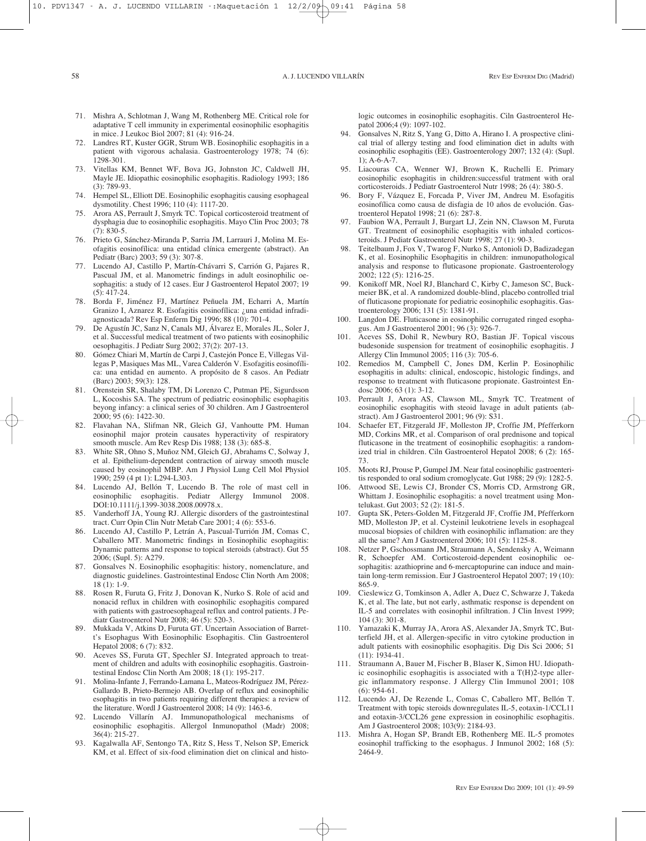- 71. Mishra A, Schlotman J, Wang M, Rothenberg ME. Critical role for adaptative T cell immunity in experimental eosinophilic esophagitis in mice. J Leukoc Biol 2007; 81 (4): 916-24.
- 72. Landres RT, Kuster GGR, Strum WB. Eosinophilic esophagitis in a patient with vigorous achalasia. Gastroenterology 1978; 74 (6): 1298-301.
- 73. Vitellas KM, Bennet WF, Bova JG, Johnston JC, Caldwell JH, Mayle JE. Idiopathic eosinophilic esophagitis. Radiology 1993; 186  $(3) \cdot 789 - 93$
- 74. Hempel SL, Elliott DE. Eosinophilic esophagitis causing esophageal dysmotility. Chest 1996; 110 (4): 1117-20.
- 75. Arora AS, Perrault J, Smyrk TC. Topical corticosteroid treatment of dysphagia due to eosinophilic esophagitis. Mayo Clin Proc 2003; 78 (7): 830-5.
- 76. Prieto G, Sánchez-Miranda P, Sarria JM, Larrauri J, Molina M. Esofagitis eosinofílica: una entidad clínica emergente (abstract). An Pediatr (Barc) 2003; 59 (3): 307-8.
- 77. Lucendo AJ, Castillo P, Martín-Chávarri S, Carrión G, Pajares R, Pascual JM, et al. Manometric findings in adult eosinophilic oesophagitis: a study of 12 cases. Eur J Gastroenterol Hepatol 2007; 19 (5): 417-24.
- 78. Borda F, Jiménez FJ, Martínez Peñuela JM, Echarri A, Martín Granizo I, Aznarez R. Esofagitis eosinofílica: ¿una entidad infradiagnosticada? Rev Esp Enferm Dig 1996; 88 (10): 701-4.
- 79. De Agustín JC, Sanz N, Canals MJ, Álvarez E, Morales JL, Soler J, et al. Successful medical treatment of two patients with eosinophilic oesophagitis. J Pediatr Surg 2002; 37(2): 207-13.
- 80. Gómez Chiari M, Martín de Carpi J, Castejón Ponce E, Villegas Villegas P, Masiques Mas ML, Varea Calderón V. Esofagitis eosinofílica: una entidad en aumento. A propósito de 8 casos. An Pediatr (Barc) 2003; 59(3): 128.
- 81. Orenstein SR, Shalaby TM, Di Lorenzo C, Putman PE, Sigurdsson L, Kocoshis SA. The spectrum of pediatric eosinophilic esophagitis beyong infancy: a clinical series of 30 children. Am J Gastroenterol 2000; 95 (6): 1422-30.
- 82. Flavahan NA, Slifman NR, Gleich GJ, Vanhoutte PM. Human eosinophil major protein causates hyperactivity of respiratory smooth muscle. Am Rev Resp Dis 1988; 138 (3): 685-8.
- 83. White SR, Ohno S, Muñoz NM, Gleich GJ, Abrahams C, Solway J, et al. Epithelium-dependent contraction of airway smooth muscle caused by eosinophil MBP. Am J Physiol Lung Cell Mol Physiol 1990; 259 (4 pt 1): L294-L303.
- 84. Lucendo AJ, Bellón T, Lucendo B. The role of mast cell in eosinophilic esophagitis. Pediatr Allergy Immunol 2008. DOI:10.1111/j.1399-3038.2008.00978.x.
- 85. Vanderhoff JA, Young RJ. Allergic disorders of the gastrointestinal tract. Curr Opin Clin Nutr Metab Care 2001; 4 (6): 553-6.
- 86. Lucendo AJ, Castillo P, Letrán A, Pascual-Turrión JM, Comas C, Caballero MT. Manometric findings in Eosinophilic esophagitis: Dynamic patterns and response to topical steroids (abstract). Gut 55 2006; (Supl. 5): A279.
- 87. Gonsalves N. Eosinophilic esophagitis: history, nomenclature, and diagnostic guidelines. Gastrointestinal Endosc Clin North Am 2008; 18 (1): 1-9.
- 88. Rosen R, Furuta G, Fritz J, Donovan K, Nurko S. Role of acid and nonacid reflux in children with eosinophilic esophagitis compared with patients with gastroesophageal reflux and control patients. J Pediatr Gastroenterol Nutr 2008; 46 (5): 520-3.
- 89. Mukkada V, Atkins D, Furuta GT. Uncertain Association of Barrett's Esophagus With Eosinophilic Esophagitis. Clin Gastroenterol Hepatol 2008; 6 (7): 832.
- 90. Aceves SS, Furuta GT, Spechler SJ. Integrated approach to treatment of children and adults with eosinophilic esophagitis. Gastrointestinal Endosc Clin North Am 2008; 18 (1): 195-217.
- 91. Molina-Infante J, Ferrando-Lamana L, Mateos-Rodríguez JM, Pérez-Gallardo B, Prieto-Bermejo AB. Overlap of reflux and eosinophilic esophagitis in two patients requiring different therapies: a review of the literature. Wordl J Gastroenterol 2008; 14 (9): 1463-6.
- 92. Lucendo Villarín AJ. Immunopathological mechanisms of eosinophilic esophagitis. Allergol Inmunopathol (Madr) 2008; 36(4): 215-27.
- 93. Kagalwalla AF, Sentongo TA, Ritz S, Hess T, Nelson SP, Emerick KM, et al. Effect of six-food elimination diet on clinical and histo-

logic outcomes in eosinophilic esophagitis. Ciln Gastroenterol Hepatol 2006;4 (9): 1097-102.

- 94. Gonsalves N, Ritz S, Yang G, Ditto A, Hirano I. A prospective clinical trial of allergy testing and food elimination diet in adults with eosinophilic esophagitis (EE). Gastroenterology 2007; 132 (4): (Supl. 1); A-6-A-7.
- 95. Liacouras CA, Wenner WJ, Brown K, Ruchelli E. Primary eosinophilic esophagitis in children:successful tratment with oral corticosteroids. J Pediatr Gastroenterol Nutr 1998; 26 (4): 380-5.
- 96. Bory F, Vázquez E, Forcada P, Viver JM, Andreu M. Esofagitis eosinofílica como causa de disfagia de 10 años de evolución. Gastroenterol Hepatol 1998; 21 (6): 287-8.
- 97. Faubion WA, Perrault J, Burgart LJ, Zein NN, Clawson M, Furuta GT. Treatment of eosinophilic esophagitis with inhaled corticosteroids. J Pediatr Gastroenterol Nutr 1998; 27 (1): 90-3.
- 98. Teitelbaum J, Fox V, Twarog F, Nurko S, Antonioli D, Badizadegan K, et al. Eosinophilic Esophagitis in children: inmunopathological analysis and response to fluticasone propionate. Gastroenterology 2002; 122 (5): 1216-25.
- 99. Konikoff MR, Noel RJ, Blanchard C, Kirby C, Jameson SC, Buckmeier BK, et al. A randomized double-blind, placebo controlled trial of fluticasone propionate for pediatric eosinophilic esophagitis. Gastroenterology 2006; 131 (5): 1381-91.
- 100. Langdon DE. Fluticasone in eosinophilic corrugated ringed esophagus. Am J Gastroenterol 2001; 96 (3): 926-7.
- 101. Aceves SS, Dohil R, Newbury RO, Bastian JF. Topical viscous budesonide suspension for treatment of eosinophilic esophagitis. J Allergy Clin Immunol 2005; 116 (3): 705-6.
- 102. Remedios M, Campbell C, Jones DM, Kerlin P. Eosinophilic esophagitis in adults: clinical, endoscopic, histologic findings, and response to treatment with fluticasone propionate. Gastrointest Endosc 2006; 63 (1): 3-12.
- 103. Perrault J, Arora AS, Clawson ML, Smyrk TC. Treatment of eosinophilic esophagitis with steoid lavage in adult patients (abstract). Am J Gastroenterol 2001; 96 (9): S31.
- 104. Schaefer ET, Fitzgerald JF, Molleston JP, Croffie JM, Pfefferkorn MD, Corkins MR, et al. Comparison of oral prednisone and topical fluticasone in the treatment of eosinophilic esophagitis: a randomized trial in children. Ciln Gastroenterol Hepatol 2008; 6 (2): 165- 73.
- 105. Moots RJ, Prouse P, Gumpel JM. Near fatal eosinophilic gastroenteritis responded to oral sodium cromoglycate. Gut 1988; 29 (9): 1282-5.
- Attwood SE, Lewis CJ, Bronder CS, Morris CD, Armstrong GR, Whittam J. Eosinophilic esophagitis: a novel treatment using Montelukast. Gut 2003; 52 (2): 181-5.
- 107. Gupta SK, Peters-Golden M, Fitzgerald JF, Croffie JM, Pfefferkorn MD, Molleston JP, et al. Cysteinil leukotriene levels in esophageal mucosal biopsies of children with eosinophilic inflamation: are they all the same? Am J Gastroenterol 2006; 101 (5): 1125-8.
- Netzer P, Gschossmann JM, Straumann A, Sendensky A, Weimann R, Schoepfer AM. Corticosteroid-dependent eosinophilic oesophagitis: azathioprine and 6-mercaptopurine can induce and maintain long-term remission. Eur J Gastroenterol Hepatol 2007; 19 (10): 865-9.
- 109. Cieslewicz G, Tomkinson A, Adler A, Duez C, Schwarze J, Takeda K, et al. The late, but not early, asthmatic response is dependent on IL-5 and correlates with eosinophil infiltration. J Clin Invest 1999; 104 (3): 301-8.
- 110. Yamazaki K, Murray JA, Arora AS, Alexander JA, Smyrk TC, Butterfield JH, et al. Allergen-specific in vitro cytokine production in adult patients with eosinophilic esophagitis. Dig Dis Sci 2006; 51 (11): 1934-41.
- 111. Straumann A, Bauer M, Fischer B, Blaser K, Simon HU. Idiopathic eosinophilic esophagitis is associated with a T(H)2-type allergic inflammatory response. J Allergy Clin Immunol 2001; 108 (6): 954-61.
- 112. Lucendo AJ, De Rezende L, Comas C, Caballero MT, Bellón T. Treatment with topic steroids downregulates IL-5, eotaxin-1/CCL11 and eotaxin-3/CCL26 gene expression in eosinophilic esophagitis. Am J Gastroenterol 2008; 103(9): 2184-93.
- 113. Mishra A, Hogan SP, Brandt EB, Rothenberg ME. IL-5 promotes eosinophil trafficking to the esophagus. J Inmunol 2002; 168 (5): 2464-9.